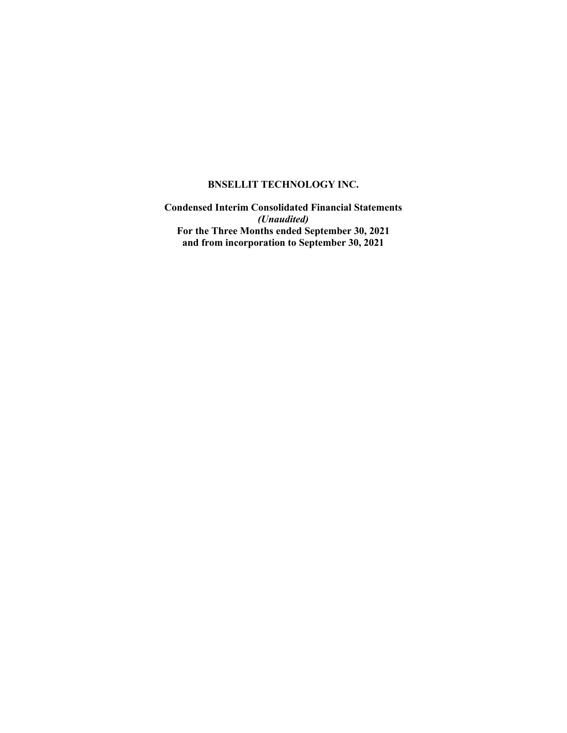**Condensed Interim Consolidated Financial Statements** *(Unaudited)* **For the Three Months ended September 30, 2021 and from incorporation to September 30, 2021**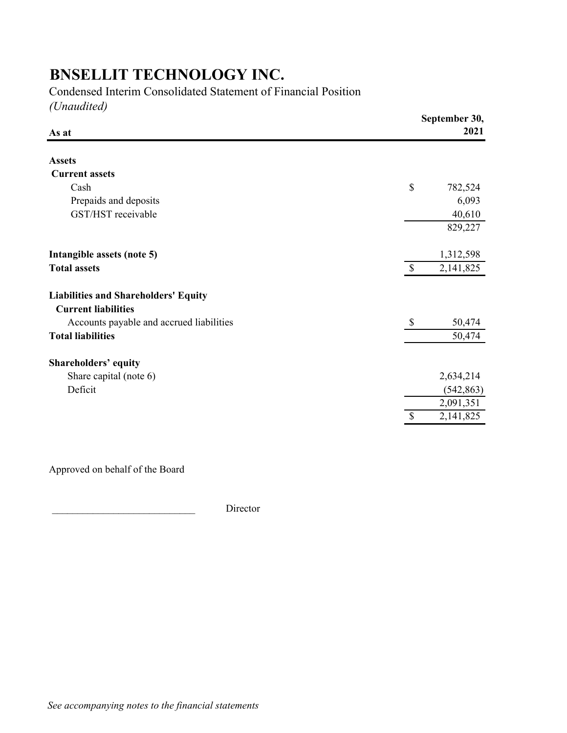Condensed Interim Consolidated Statement of Financial Position

*(Unaudited)*

|                           | September 30,<br>2021 |
|---------------------------|-----------------------|
|                           |                       |
|                           |                       |
| \$                        | 782,524               |
|                           | 6,093                 |
|                           | 40,610                |
|                           | 829,227               |
|                           | 1,312,598             |
| $\mathcal{S}$             | 2,141,825             |
|                           |                       |
|                           |                       |
| $\boldsymbol{\mathsf{S}}$ | 50,474                |
|                           | 50,474                |
|                           |                       |
|                           | 2,634,214             |
|                           | (542, 863)            |
|                           | 2,091,351             |
| $\mathcal{S}$             | 2,141,825             |
|                           |                       |

Approved on behalf of the Board

Director

*See accompanying notes to the financial statements*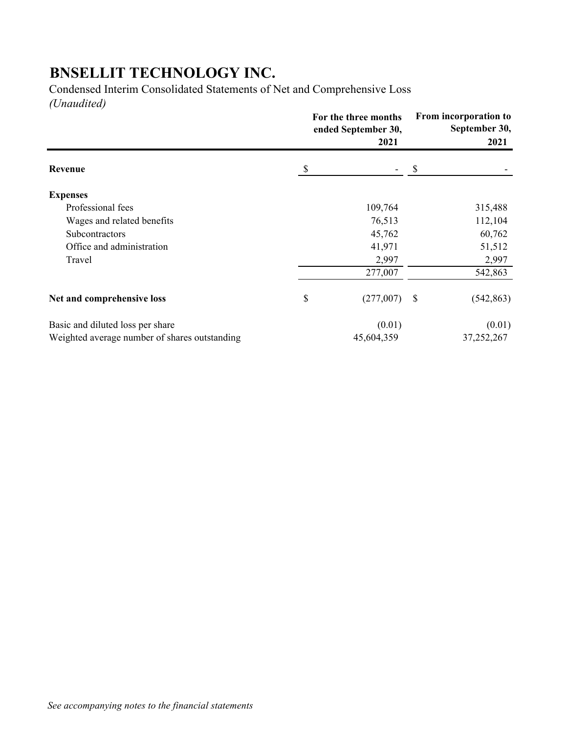Condensed Interim Consolidated Statements of Net and Comprehensive Loss *(Unaudited)*

|                                               | For the three months<br>ended September 30,<br>2021 |            | From incorporation to<br>September 30,<br>2021 |            |
|-----------------------------------------------|-----------------------------------------------------|------------|------------------------------------------------|------------|
| Revenue                                       | \$                                                  |            | S                                              |            |
| <b>Expenses</b>                               |                                                     |            |                                                |            |
| Professional fees                             |                                                     | 109,764    |                                                | 315,488    |
| Wages and related benefits                    |                                                     | 76,513     |                                                | 112,104    |
| <b>Subcontractors</b>                         |                                                     | 45,762     |                                                | 60,762     |
| Office and administration                     |                                                     | 41,971     |                                                | 51,512     |
| Travel                                        |                                                     | 2,997      |                                                | 2,997      |
|                                               |                                                     | 277,007    |                                                | 542,863    |
| Net and comprehensive loss                    | \$                                                  | (277,007)  | -S                                             | (542, 863) |
| Basic and diluted loss per share              |                                                     | (0.01)     |                                                | (0.01)     |
| Weighted average number of shares outstanding |                                                     | 45,604,359 |                                                | 37,252,267 |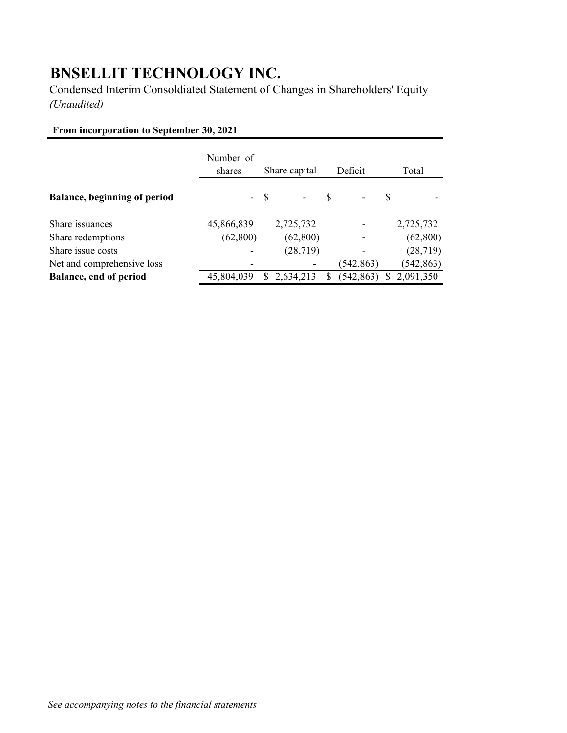Condensed Interim Consoldiated Statement of Changes in Shareholders' Equity *(Unaudited)*

### **From incorporation to September 30, 2021**

|                                     | Number of<br>shares | Share capital   | Deficit       | Total      |
|-------------------------------------|---------------------|-----------------|---------------|------------|
| <b>Balance, beginning of period</b> |                     | $- S$<br>$\sim$ | <sup>\$</sup> | S          |
| Share issuances                     | 45,866,839          | 2,725,732       |               | 2,725,732  |
| Share redemptions                   | (62, 800)           | (62, 800)       |               | (62,800)   |
| Share issue costs                   |                     | (28, 719)       |               | (28, 719)  |
| Net and comprehensive loss          |                     |                 | (542,863)     | (542, 863) |
| <b>Balance, end of period</b>       | 45,804,039          | 2,634,213       | (542, 863)    | 2,091,350  |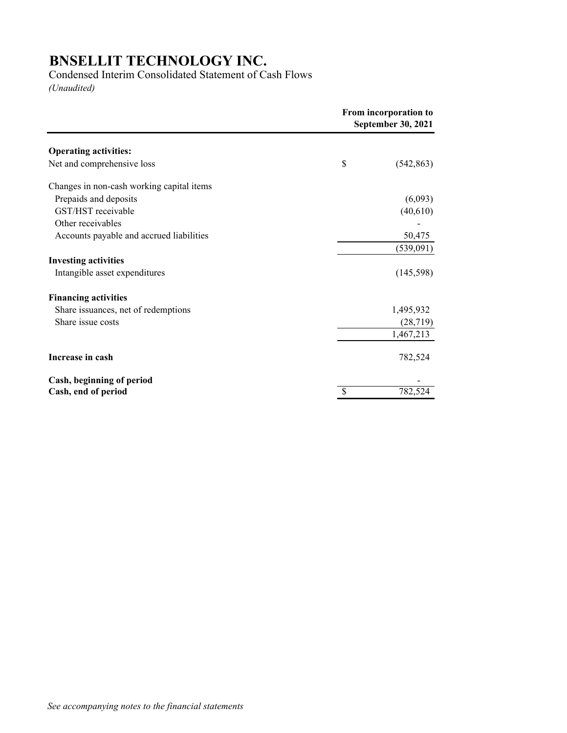#### Condensed Interim Consolidated Statement of Cash Flows

*(Unaudited)*

|                                           | From incorporation to<br>September 30, 2021 |            |
|-------------------------------------------|---------------------------------------------|------------|
| <b>Operating activities:</b>              |                                             |            |
| Net and comprehensive loss                | \$                                          | (542, 863) |
| Changes in non-cash working capital items |                                             |            |
| Prepaids and deposits                     |                                             | (6,093)    |
| GST/HST receivable                        |                                             | (40,610)   |
| Other receivables                         |                                             |            |
| Accounts payable and accrued liabilities  |                                             | 50,475     |
|                                           |                                             | (539,091)  |
| <b>Investing activities</b>               |                                             |            |
| Intangible asset expenditures             |                                             | (145, 598) |
| <b>Financing activities</b>               |                                             |            |
| Share issuances, net of redemptions       |                                             | 1,495,932  |
| Share issue costs                         |                                             | (28, 719)  |
|                                           |                                             | 1,467,213  |
| Increase in cash                          |                                             | 782,524    |
| Cash, beginning of period                 |                                             |            |
| Cash, end of period                       | S                                           | 782,524    |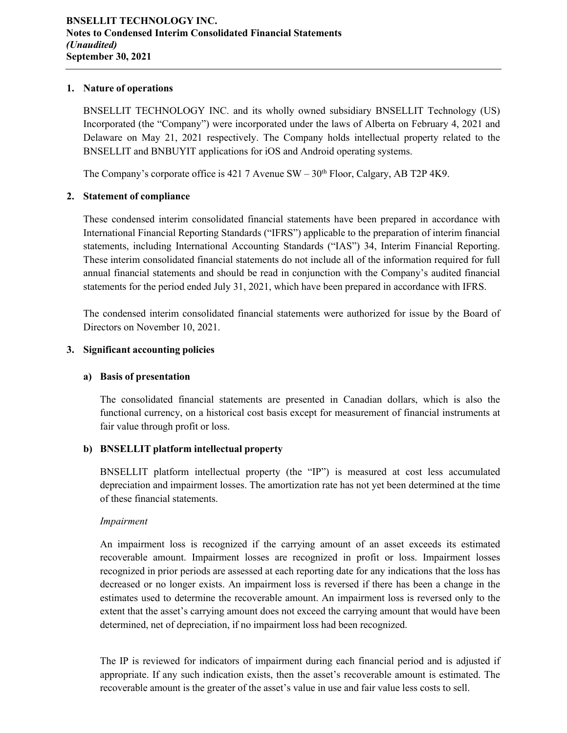#### **1. Nature of operations**

BNSELLIT TECHNOLOGY INC. and its wholly owned subsidiary BNSELLIT Technology (US) Incorporated (the "Company") were incorporated under the laws of Alberta on February 4, 2021 and Delaware on May 21, 2021 respectively. The Company holds intellectual property related to the BNSELLIT and BNBUYIT applications for iOS and Android operating systems.

The Company's corporate office is 421 7 Avenue  $SW - 30<sup>th</sup>$  Floor, Calgary, AB T2P 4K9.

#### **2. Statement of compliance**

These condensed interim consolidated financial statements have been prepared in accordance with International Financial Reporting Standards ("IFRS") applicable to the preparation of interim financial statements, including International Accounting Standards ("IAS") 34, Interim Financial Reporting. These interim consolidated financial statements do not include all of the information required for full annual financial statements and should be read in conjunction with the Company's audited financial statements for the period ended July 31, 2021, which have been prepared in accordance with IFRS.

The condensed interim consolidated financial statements were authorized for issue by the Board of Directors on November 10, 2021.

#### **3. Significant accounting policies**

#### **a) Basis of presentation**

The consolidated financial statements are presented in Canadian dollars, which is also the functional currency, on a historical cost basis except for measurement of financial instruments at fair value through profit or loss.

#### **b) BNSELLIT platform intellectual property**

BNSELLIT platform intellectual property (the "IP") is measured at cost less accumulated depreciation and impairment losses. The amortization rate has not yet been determined at the time of these financial statements.

#### *Impairment*

An impairment loss is recognized if the carrying amount of an asset exceeds its estimated recoverable amount. Impairment losses are recognized in profit or loss. Impairment losses recognized in prior periods are assessed at each reporting date for any indications that the loss has decreased or no longer exists. An impairment loss is reversed if there has been a change in the estimates used to determine the recoverable amount. An impairment loss is reversed only to the extent that the asset's carrying amount does not exceed the carrying amount that would have been determined, net of depreciation, if no impairment loss had been recognized.

The IP is reviewed for indicators of impairment during each financial period and is adjusted if appropriate. If any such indication exists, then the asset's recoverable amount is estimated. The recoverable amount is the greater of the asset's value in use and fair value less costs to sell.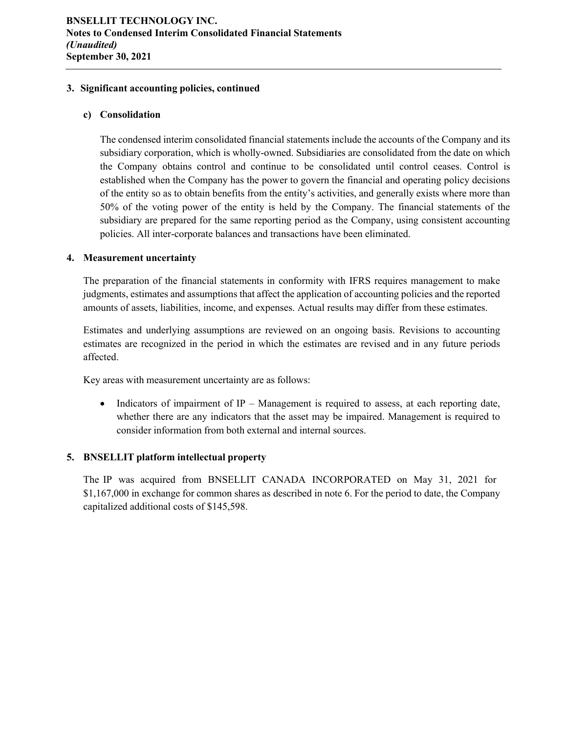#### **3. Significant accounting policies, continued**

#### **c) Consolidation**

The condensed interim consolidated financial statements include the accounts of the Company and its subsidiary corporation, which is wholly-owned. Subsidiaries are consolidated from the date on which the Company obtains control and continue to be consolidated until control ceases. Control is established when the Company has the power to govern the financial and operating policy decisions of the entity so as to obtain benefits from the entity's activities, and generally exists where more than 50% of the voting power of the entity is held by the Company. The financial statements of the subsidiary are prepared for the same reporting period as the Company, using consistent accounting policies. All inter-corporate balances and transactions have been eliminated.

#### **4. Measurement uncertainty**

The preparation of the financial statements in conformity with IFRS requires management to make judgments, estimates and assumptions that affect the application of accounting policies and the reported amounts of assets, liabilities, income, and expenses. Actual results may differ from these estimates.

Estimates and underlying assumptions are reviewed on an ongoing basis. Revisions to accounting estimates are recognized in the period in which the estimates are revised and in any future periods affected.

Key areas with measurement uncertainty are as follows:

 $\bullet$  Indicators of impairment of IP – Management is required to assess, at each reporting date, whether there are any indicators that the asset may be impaired. Management is required to consider information from both external and internal sources.

#### **5. BNSELLIT platform intellectual property**

The IP was acquired from BNSELLIT CANADA INCORPORATED on May 31, 2021 for \$1,167,000 in exchange for common shares as described in note 6. For the period to date, the Company capitalized additional costs of \$145,598.